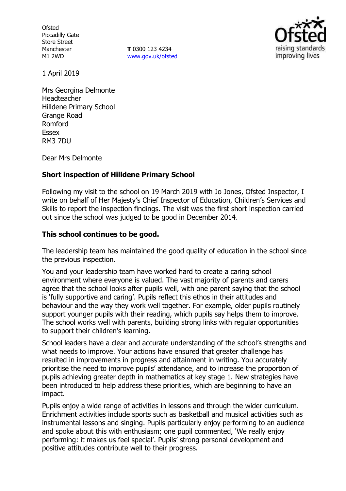**Ofsted** Piccadilly Gate Store Street Manchester M1 2WD

**T** 0300 123 4234 www.gov.uk/ofsted



1 April 2019

Mrs Georgina Delmonte Headteacher Hilldene Primary School Grange Road Romford Essex RM3 7DU

Dear Mrs Delmonte

## **Short inspection of Hilldene Primary School**

Following my visit to the school on 19 March 2019 with Jo Jones, Ofsted Inspector, I write on behalf of Her Majesty's Chief Inspector of Education, Children's Services and Skills to report the inspection findings. The visit was the first short inspection carried out since the school was judged to be good in December 2014.

## **This school continues to be good.**

The leadership team has maintained the good quality of education in the school since the previous inspection.

You and your leadership team have worked hard to create a caring school environment where everyone is valued. The vast majority of parents and carers agree that the school looks after pupils well, with one parent saying that the school is 'fully supportive and caring'. Pupils reflect this ethos in their attitudes and behaviour and the way they work well together. For example, older pupils routinely support younger pupils with their reading, which pupils say helps them to improve. The school works well with parents, building strong links with regular opportunities to support their children's learning.

School leaders have a clear and accurate understanding of the school's strengths and what needs to improve. Your actions have ensured that greater challenge has resulted in improvements in progress and attainment in writing. You accurately prioritise the need to improve pupils' attendance, and to increase the proportion of pupils achieving greater depth in mathematics at key stage 1. New strategies have been introduced to help address these priorities, which are beginning to have an impact.

Pupils enjoy a wide range of activities in lessons and through the wider curriculum. Enrichment activities include sports such as basketball and musical activities such as instrumental lessons and singing. Pupils particularly enjoy performing to an audience and spoke about this with enthusiasm; one pupil commented, 'We really enjoy performing: it makes us feel special'. Pupils' strong personal development and positive attitudes contribute well to their progress.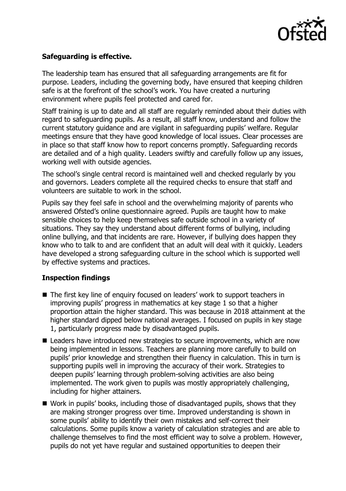

# **Safeguarding is effective.**

The leadership team has ensured that all safeguarding arrangements are fit for purpose. Leaders, including the governing body, have ensured that keeping children safe is at the forefront of the school's work. You have created a nurturing environment where pupils feel protected and cared for.

Staff training is up to date and all staff are regularly reminded about their duties with regard to safeguarding pupils. As a result, all staff know, understand and follow the current statutory guidance and are vigilant in safeguarding pupils' welfare. Regular meetings ensure that they have good knowledge of local issues. Clear processes are in place so that staff know how to report concerns promptly. Safeguarding records are detailed and of a high quality. Leaders swiftly and carefully follow up any issues, working well with outside agencies.

The school's single central record is maintained well and checked regularly by you and governors. Leaders complete all the required checks to ensure that staff and volunteers are suitable to work in the school.

Pupils say they feel safe in school and the overwhelming majority of parents who answered Ofsted's online questionnaire agreed. Pupils are taught how to make sensible choices to help keep themselves safe outside school in a variety of situations. They say they understand about different forms of bullying, including online bullying, and that incidents are rare. However, if bullying does happen they know who to talk to and are confident that an adult will deal with it quickly. Leaders have developed a strong safeguarding culture in the school which is supported well by effective systems and practices.

## **Inspection findings**

- The first key line of enquiry focused on leaders' work to support teachers in improving pupils' progress in mathematics at key stage 1 so that a higher proportion attain the higher standard. This was because in 2018 attainment at the higher standard dipped below national averages. I focused on pupils in key stage 1, particularly progress made by disadvantaged pupils.
- Leaders have introduced new strategies to secure improvements, which are now being implemented in lessons. Teachers are planning more carefully to build on pupils' prior knowledge and strengthen their fluency in calculation. This in turn is supporting pupils well in improving the accuracy of their work. Strategies to deepen pupils' learning through problem-solving activities are also being implemented. The work given to pupils was mostly appropriately challenging, including for higher attainers.
- Work in pupils' books, including those of disadvantaged pupils, shows that they are making stronger progress over time. Improved understanding is shown in some pupils' ability to identify their own mistakes and self-correct their calculations. Some pupils know a variety of calculation strategies and are able to challenge themselves to find the most efficient way to solve a problem. However, pupils do not yet have regular and sustained opportunities to deepen their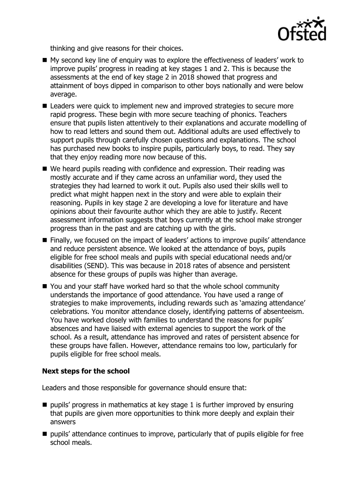

thinking and give reasons for their choices.

- My second key line of enguiry was to explore the effectiveness of leaders' work to improve pupils' progress in reading at key stages 1 and 2. This is because the assessments at the end of key stage 2 in 2018 showed that progress and attainment of boys dipped in comparison to other boys nationally and were below average.
- Leaders were quick to implement new and improved strategies to secure more rapid progress. These begin with more secure teaching of phonics. Teachers ensure that pupils listen attentively to their explanations and accurate modelling of how to read letters and sound them out. Additional adults are used effectively to support pupils through carefully chosen questions and explanations. The school has purchased new books to inspire pupils, particularly boys, to read. They say that they enjoy reading more now because of this.
- We heard pupils reading with confidence and expression. Their reading was mostly accurate and if they came across an unfamiliar word, they used the strategies they had learned to work it out. Pupils also used their skills well to predict what might happen next in the story and were able to explain their reasoning. Pupils in key stage 2 are developing a love for literature and have opinions about their favourite author which they are able to justify. Recent assessment information suggests that boys currently at the school make stronger progress than in the past and are catching up with the girls.
- Finally, we focused on the impact of leaders' actions to improve pupils' attendance and reduce persistent absence. We looked at the attendance of boys, pupils eligible for free school meals and pupils with special educational needs and/or disabilities (SEND). This was because in 2018 rates of absence and persistent absence for these groups of pupils was higher than average.
- You and your staff have worked hard so that the whole school community understands the importance of good attendance. You have used a range of strategies to make improvements, including rewards such as 'amazing attendance' celebrations. You monitor attendance closely, identifying patterns of absenteeism. You have worked closely with families to understand the reasons for pupils' absences and have liaised with external agencies to support the work of the school. As a result, attendance has improved and rates of persistent absence for these groups have fallen. However, attendance remains too low, particularly for pupils eligible for free school meals.

## **Next steps for the school**

Leaders and those responsible for governance should ensure that:

- $\blacksquare$  pupils' progress in mathematics at key stage 1 is further improved by ensuring that pupils are given more opportunities to think more deeply and explain their answers
- $\blacksquare$  pupils' attendance continues to improve, particularly that of pupils eligible for free school meals.